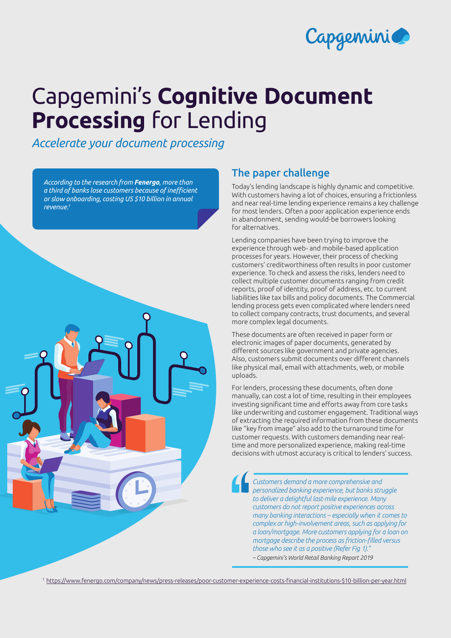

# Capgemini's **Cognitive Document Processing** for Lending

*Accelerate your document processing*

*According to the research from Fenergo, more than a third of banks lose customers because of inefficient or slow onboarding, costing US \$10 billion in annual revenue.1* 



## The paper challenge

Today's lending landscape is highly dynamic and competitive. With customers having a lot of choices, ensuring a frictionless and near real-time lending experience remains a key challenge for most lenders. Often a poor application experience ends in abandonment, sending would-be borrowers looking for alternatives.

Lending companies have been trying to improve the experience through web- and mobile-based application processes for years. However, their process of checking customers' creditworthiness often results in poor customer experience. To check and assess the risks, lenders need to collect multiple customer documents ranging from credit reports, proof of identity, proof of address, etc. to current liabilities like tax bills and policy documents. The Commercial lending process gets even complicated where lenders need to collect company contracts, trust documents, and several more complex legal documents.

These documents are often received in paper form or electronic images of paper documents, generated by different sources like government and private agencies. Also, customers submit documents over different channels like physical mail, email with attachments, web, or mobile uploads.

For lenders, processing these documents, often done manually, can cost a lot of time, resulting in their employees investing significant time and efforts away from core tasks like underwriting and customer engagement. Traditional ways of extracting the required information from these documents like "key from image" also add to the turnaround time for customer requests. With customers demanding near realtime and more personalized experience, making real-time decisions with utmost accuracy is critical to lenders' success.

*Customers demand a more comprehensive and personalized banking experience, but banks struggle to deliver a delightful last-mile experience. Many customers do not report positive experiences across many banking interactions – especially when it comes to complex or high-involvement areas, such as applying for a loan/mortgage. More customers applying for a loan on mortgage describe the process as friction-filled versus those who see it as a positive (Refer Fig 1)." – Capgemini's World Retail Banking Report 2019*

<sup>1</sup>[https://www.fenergo.com/company/news/press-releases/poor-customer-experience-costs-financial-institutions-\\$10-billion-per-year.html](https://www.fenergo.com/company/news/press-releases/poor-customer-experience-costs-financial-institutions-$10-billion-per-year.html)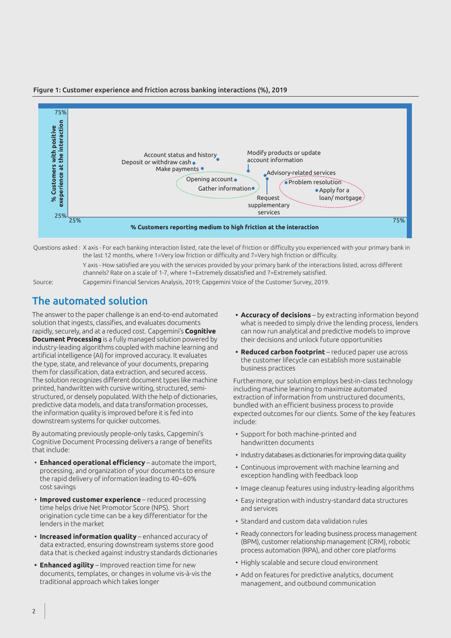

#### Figure 1: Customer experience and friction across banking interactions (%), 2019

Questions asked : X axis - For each banking interaction listed, rate the level of friction or difficulty you experienced with your primary bank in the last 12 months, where 1=Very low friction or difficulty and 7=Very high friction or difficulty.

Y axis - How satisfied are you with the services provided by your primary bank of the interactions listed, across different channels? Rate on a scale of 1-7, where 1=Extremely dissatisfied and 7=Extremely satisfied.

Source: Capgemini Financial Services Analysis, 2019; Capgemini Voice of the Customer Survey, 2019.

## The automated solution

The answer to the paper challenge is an end-to-end automated solution that ingests, classifies, and evaluates documents rapidly, securely, and at a reduced cost. Capgemini's **Cognitive Document Processing** is a fully managed solution powered by industry-leading algorithms coupled with machine learning and artificial intelligence (AI) for improved accuracy. It evaluates the type, state, and relevance of your documents, preparing them for classification, data extraction, and secured access. The solution recognizes different document types like machine printed, handwritten with cursive writing, structured, semistructured, or densely populated. With the help of dictionaries, predictive data models, and data transformation processes, the information quality is improved before it is fed into downstream systems for quicker outcomes.

By automating previously people-only tasks, Capgemini's Cognitive Document Processing delivers a range of benefits that include:

- **Enhanced operational efficiency** automate the import, processing, and organization of your documents to ensure the rapid delivery of information leading to 40–60% cost savings
- **Improved customer experience** reduced processing time helps drive Net Promotor Score (NPS). Short origination cycle time can be a key differentiator for the lenders in the market
- **Increased information quality** enhanced accuracy of data extracted, ensuring downstream systems store good data that is checked against industry standards dictionaries
- **• Enhanced agility**  Improved reaction time for new documents, templates, or changes in volume vis-à-vis the traditional approach which takes longer
- **• Accuracy of decisions** by extracting information beyond what is needed to simply drive the lending process, lenders can now run analytical and predictive models to improve their decisions and unlock future opportunities
- **• Reduced carbon footprint** reduced paper use across the customer lifecycle can establish more sustainable business practices

Furthermore, our solution employs best-in-class technology including machine learning to maximize automated extraction of information from unstructured documents, bundled with an efficient business process to provide expected outcomes for our clients. Some of the key features include:

- Support for both machine-printed and handwritten documents
- Industry databases as dictionaries for improving data quality
- Continuous improvement with machine learning and exception handling with feedback loop
- Image cleanup features using industry-leading algorithms
- Easy integration with industry-standard data structures and services
- Standard and custom data validation rules
- Ready connectors for leading business process management (BPM), customer relationship management (CRM), robotic process automation (RPA), and other core platforms
- Highly scalable and secure cloud environment
- Add on features for predictive analytics, document management, and outbound communication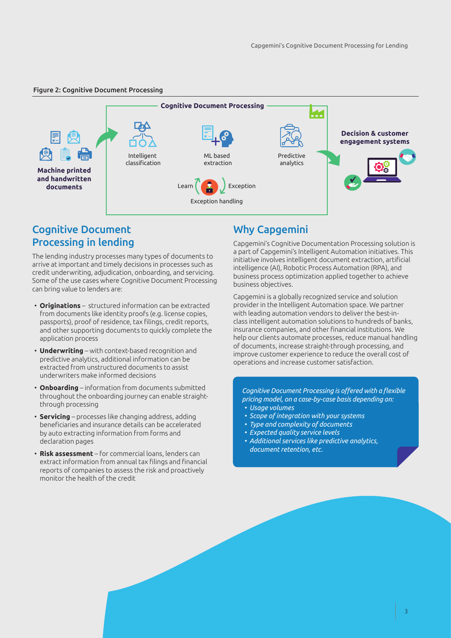#### Figure 2: Cognitive Document Processing



## Cognitive Document Processing in lending

The lending industry processes many types of documents to arrive at important and timely decisions in processes such as credit underwriting, adjudication, onboarding, and servicing. Some of the use cases where Cognitive Document Processing can bring value to lenders are:

- **Originations**  structured information can be extracted from documents like identity proofs (e.g. license copies, passports), proof of residence, tax filings, credit reports, and other supporting documents to quickly complete the application process
- **Underwriting** with context-based recognition and predictive analytics, additional information can be extracted from unstructured documents to assist underwriters make informed decisions
- **Onboarding** information from documents submitted throughout the onboarding journey can enable straightthrough processing
- **Servicing** processes like changing address, adding beneficiaries and insurance details can be accelerated by auto extracting information from forms and declaration pages
- **Risk assessment** for commercial loans, lenders can extract information from annual tax filings and financial reports of companies to assess the risk and proactively monitor the health of the credit

## Why Capgemini

Capgemini's Cognitive Documentation Processing solution is a part of Capgemini's Intelligent Automation initiatives. This initiative involves intelligent document extraction, artificial intelligence (AI), Robotic Process Automation (RPA), and business process optimization applied together to achieve business objectives.

Capgemini is a globally recognized service and solution provider in the Intelligent Automation space. We partner with leading automation vendors to deliver the best-inclass intelligent automation solutions to hundreds of banks, insurance companies, and other financial institutions. We help our clients automate processes, reduce manual handling of documents, increase straight-through processing, and improve customer experience to reduce the overall cost of operations and increase customer satisfaction.

*Cognitive Document Processing is offered with a flexible pricing model, on a case-by-case basis depending on:*

- *• Usage volumes*
- *• Scope of integration with your systems*
- *• Type and complexity of documents*
- *• Expected quality service levels*
- *• Additional services like predictive analytics, document retention, etc.*